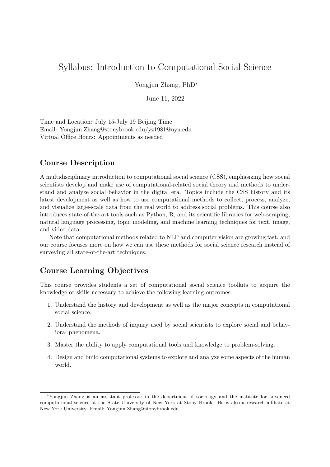# Syllabus: Introduction to Computational Social Science

Yongjun Zhang, PhD<sup>∗</sup>

June 11, 2022

Time and Location: July 15-July 19 Beijing Time Email: Yongjun.Zhang@stonybrook.edu/yz1981@nyu.edu Virtual Office Hours: Appointments as needed

## Course Description

A multidisciplinary introduction to computational social science (CSS), emphasizing how social scientists develop and make use of computational-related social theory and methods to understand and analyze social behavior in the digital era. Topics include the CSS history and its latest development as well as how to use computational methods to collect, process, analyze, and visualize large-scale data from the real world to address social problems. This course also introduces state-of-the-art tools such as Python, R, and its scientific libraries for web-scraping, natural language processing, topic modeling, and machine learning techniques for text, image, and video data.

Note that computational methods related to NLP and computer vision are growing fast, and our course focuses more on how we can use these methods for social science research instead of surveying all state-of-the-art techniques.

## Course Learning Objectives

This course provides students a set of computational social science toolkits to acquire the knowledge or skills necessary to achieve the following learning outcomes:

- 1. Understand the history and development as well as the major concepts in computational social science.
- 2. Understand the methods of inquiry used by social scientists to explore social and behavioral phenomena.
- 3. Master the ability to apply computational tools and knowledge to problem-solving.
- 4. Design and build computational systems to explore and analyze some aspects of the human world.

<sup>∗</sup>Yongjun Zhang is an assistant professor in the department of sociology and the institute for advanced computational science at the State University of New York at Stony Brook. He is also a research affiliate at New York University. Email: Yongjun.Zhang@stonybrook.edu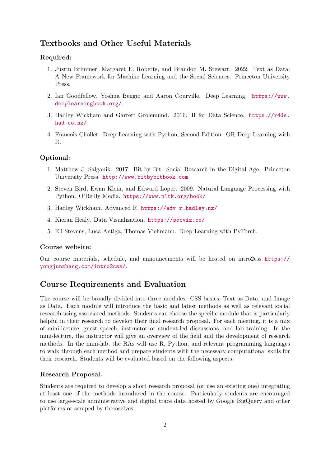## Textbooks and Other Useful Materials

## Required:

- 1. Justin Brimmer, Margaret E. Roberts, and Brandon M. Stewart. 2022. Text as Data: A New Framework for Machine Learning and the Social Sciences. Princeton University Press.
- 2. Ian Goodfellow, Yoshua Bengio and Aaron Courville. Deep Learning. [https://www.](https://www.deeplearningbook.org/) [deeplearningbook.org/](https://www.deeplearningbook.org/).
- 3. Hadley Wickham and Garrett Grolemund. 2016. R for Data Science. [https://r4ds.](https://r4ds.had.co.nz/) [had.co.nz/](https://r4ds.had.co.nz/)
- 4. Francois Chollet. Deep Learning with Python, Second Edition. OR Deep Learning with R.

## Optional:

- 1. Matthew J. Salganik. 2017. Bit by Bit: Social Research in the Digital Age. Princeton University Press. <http://www.bitbybitbook.com>
- 2. Steven Bird, Ewan Klein, and Edward Loper. 2009. Natural Language Processing with Python. O'Reilly Media. <https://www.nltk.org/book/>
- 3. Hadley Wickham. Advanced R. <https://adv-r.hadley.nz/>
- 4. Kieran Healy. Data Visualization. <https://socviz.co/>
- 5. Eli Stevens, Luca Antiga, Thomas Viehmann. Deep Learning with PyTorch.

### Course website:

Our course materials, schedule, and announcements will be hosted on intro2css [https://](https://yongjunzhang.com/intro2css/) [yongjunzhang.com/intro2css/](https://yongjunzhang.com/intro2css/).

## Course Requirements and Evaluation

The course will be broadly divided into three modules: CSS basics, Text as Data, and Image as Data. Each module will introduce the basic and latest methods as well as relevant social research using associated methods. Students can choose the specific module that is particularly helpful in their research to develop their final research proposal. For each meeting, it is a mix of mini-lecture, guest speech, instructor or student-led discussions, and lab training. In the mini-lecture, the instructor will give an overview of the field and the development of research methods. In the mini-lab, the RAs will use R, Python, and relevant programming languages to walk through each method and prepare students with the necessary computational skills for their research. Students will be evaluated based on the following aspects:

## Research Proposal.

Students are required to develop a short research proposal (or use an existing one) integrating at least one of the methods introduced in the course. Particularly students are encouraged to use large-scale administrative and digital trace data hosted by Google BigQuery and other platforms or scraped by themselves.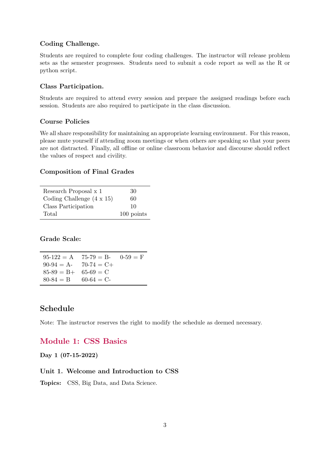## Coding Challenge.

Students are required to complete four coding challenges. The instructor will release problem sets as the semester progresses. Students need to submit a code report as well as the R or python script.

#### Class Participation.

Students are required to attend every session and prepare the assigned readings before each session. Students are also required to participate in the class discussion.

### Course Policies

We all share responsibility for maintaining an appropriate learning environment. For this reason, please mute yourself if attending zoom meetings or when others are speaking so that your peers are not distracted. Finally, all offline or online classroom behavior and discourse should reflect the values of respect and civility.

#### Composition of Final Grades

| Research Proposal x 1            | 30         |
|----------------------------------|------------|
| Coding Challenge $(4 \times 15)$ | 60         |
| Class Participation              | 10         |
| Total                            | 100 points |

Grade Scale:

 $95-122 = A$   $75-79 = B$ -  $0-59 = F$  $90-94 = A - 70-74 = C +$  $85-89 = B+ 65-69 = C$  $80-84 = B$  60-64 = C-

## Schedule

Note: The instructor reserves the right to modify the schedule as deemed necessary.

## Module 1: CSS Basics

Day 1 (07-15-2022)

### Unit 1. Welcome and Introduction to CSS

Topics: CSS, Big Data, and Data Science.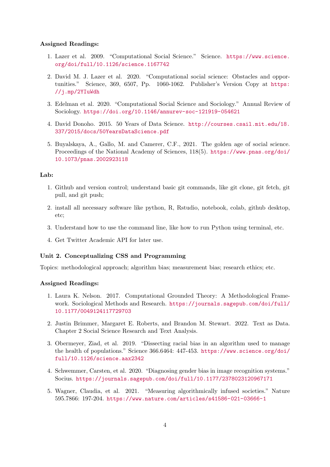#### Assigned Readings:

- 1. Lazer et al. 2009. "Computational Social Science." Science. [https://www.science.](https://www.science.org/doi/full/10.1126/science.1167742) [org/doi/full/10.1126/science.1167742](https://www.science.org/doi/full/10.1126/science.1167742)
- 2. David M. J. Lazer et al. 2020. "Computational social science: Obstacles and opportunities." Science, 369, 6507, Pp. 1060-1062. Publisher's Version Copy at [https:](https://j.mp/2YIuWdh) [//j.mp/2YIuWdh](https://j.mp/2YIuWdh)
- 3. Edelman et al. 2020. "Computational Social Science and Sociology." Annual Review of Sociology. <https://doi.org/10.1146/annurev-soc-121919-054621>
- 4. David Donoho. 2015. 50 Years of Data Science. [http://courses.csail.mit.edu/18.](http://courses.csail.mit.edu/18.337/2015/docs/50YearsDataScience.pdf) [337/2015/docs/50YearsDataScience.pdf](http://courses.csail.mit.edu/18.337/2015/docs/50YearsDataScience.pdf)
- 5. Buyalskaya, A., Gallo, M. and Camerer, C.F., 2021. The golden age of social science. Proceedings of the National Academy of Sciences, 118(5). [https://www.pnas.org/doi/](https://www.pnas.org/doi/10.1073/pnas.2002923118) [10.1073/pnas.2002923118](https://www.pnas.org/doi/10.1073/pnas.2002923118)

### Lab:

- 1. Github and version control; understand basic git commands, like git clone, git fetch, git pull, and git push;
- 2. install all necessary software like python, R, Rstudio, notebook, colab, github desktop, etc;
- 3. Understand how to use the command line, like how to run Python using terminal, etc.
- 4. Get Twitter Academic API for later use.

#### Unit 2. Conceptualizing CSS and Programming

Topics: methodological approach; algorithm bias; measurement bias; research ethics; etc.

- 1. Laura K. Nelson. 2017. Computational Grounded Theory: A Methodological Framework. Sociological Methods and Research. [https://journals.sagepub.com/doi/full/](https://journals.sagepub.com/doi/full/10.1177/0049124117729703) [10.1177/0049124117729703](https://journals.sagepub.com/doi/full/10.1177/0049124117729703)
- 2. Justin Brimmer, Margaret E. Roberts, and Brandon M. Stewart. 2022. Text as Data. Chapter 2 Social Science Research and Text Analysis.
- 3. Obermeyer, Ziad, et al. 2019. "Dissecting racial bias in an algorithm used to manage the health of populations." Science 366.6464: 447-453. [https://www.science.org/doi/](https://www.science.org/doi/full/10.1126/science.aax2342) [full/10.1126/science.aax2342](https://www.science.org/doi/full/10.1126/science.aax2342)
- 4. Schwemmer, Carsten, et al. 2020. "Diagnosing gender bias in image recognition systems." Socius. <https://journals.sagepub.com/doi/full/10.1177/2378023120967171>
- 5. Wagner, Claudia, et al. 2021. "Measuring algorithmically infused societies." Nature 595.7866: 197-204. <https://www.nature.com/articles/s41586-021-03666-1>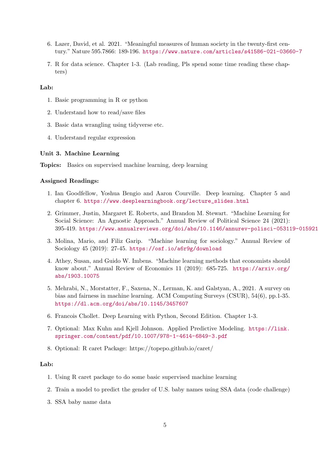- 6. Lazer, David, et al. 2021. "Meaningful measures of human society in the twenty-first century." Nature 595.7866: 189-196. <https://www.nature.com/articles/s41586-021-03660-7>
- 7. R for data science. Chapter 1-3. (Lab reading, Pls spend some time reading these chapters)

- 1. Basic programming in R or python
- 2. Understand how to read/save files
- 3. Basic data wrangling using tidyverse etc.
- 4. Understand regular expression

#### Unit 3. Machine Learning

Topics: Basics on supervised machine learning, deep learning

### Assigned Readings:

- 1. Ian Goodfellow, Yoshua Bengio and Aaron Courville. Deep learning. Chapter 5 and chapter 6. [https://www.deeplearningbook.org/lecture\\_slides.html](https://www.deeplearningbook.org/lecture_slides.html)
- 2. Grimmer, Justin, Margaret E. Roberts, and Brandon M. Stewart. "Machine Learning for Social Science: An Agnostic Approach." Annual Review of Political Science 24 (2021): 395-419. <https://www.annualreviews.org/doi/abs/10.1146/annurev-polisci-053119-015921>
- 3. Molina, Mario, and Filiz Garip. "Machine learning for sociology." Annual Review of Sociology 45 (2019): 27-45. <https://osf.io/a6r9g/download>
- 4. Athey, Susan, and Guido W. Imbens. "Machine learning methods that economists should know about." Annual Review of Economics 11 (2019): 685-725. [https://arxiv.org/](https://arxiv.org/abs/1903.10075) [abs/1903.10075](https://arxiv.org/abs/1903.10075)
- 5. Mehrabi, N., Morstatter, F., Saxena, N., Lerman, K. and Galstyan, A., 2021. A survey on bias and fairness in machine learning. ACM Computing Surveys (CSUR), 54(6), pp.1-35. <https://dl.acm.org/doi/abs/10.1145/3457607>
- 6. Francois Chollet. Deep Learning with Python, Second Edition. Chapter 1-3.
- 7. Optional: Max Kuhn and Kjell Johnson. Applied Predictive Modeling. [https://link.](https://link.springer.com/content/pdf/10.1007/978-1-4614-6849-3.pdf) [springer.com/content/pdf/10.1007/978-1-4614-6849-3.pdf](https://link.springer.com/content/pdf/10.1007/978-1-4614-6849-3.pdf)
- 8. Optional: R caret Package: https://topepo.github.io/caret/

#### Lab:

- 1. Using R caret package to do some basic supervised machine learning
- 2. Train a model to predict the gender of U.S. baby names using SSA data (code challenge)
- 3. SSA baby name data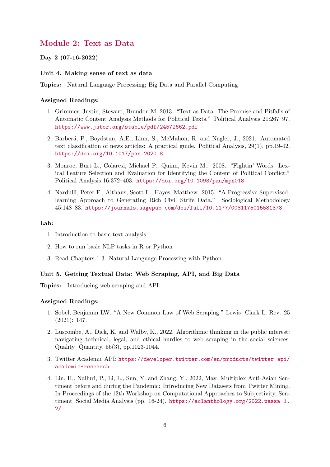## Module 2: Text as Data

Day 2 (07-16-2022)

#### Unit 4. Making sense of text as data

Topics: Natural Language Processing; Big Data and Parallel Computing

#### Assigned Readings:

- 1. Grimmer, Justin, Stewart, Brandon M. 2013. "Text as Data: The Promise and Pitfalls of Automatic Content Analysis Methods for Political Texts." Political Analysis 21:267–97. <https://www.jstor.org/stable/pdf/24572662.pdf>
- 2. Barber´a, P., Boydstun, A.E., Linn, S., McMahon, R. and Nagler, J., 2021. Automated text classification of news articles: A practical guide. Political Analysis, 29(1), pp.19-42. <https://doi.org/10.1017/pan.2020.8>
- 3. Monroe, Burt L., Colaresi, Michael P., Quinn, Kevin M.. 2008. "Fightin' Words: Lexical Feature Selection and Evaluation for Identifying the Content of Political Conflict." Political Analysis 16:372–403. <https://doi.org/10.1093/pan/mpn018>
- 4. Nardulli, Peter F., Althaus, Scott L., Hayes, Matthew. 2015. "A Progressive Supervisedlearning Approach to Generating Rich Civil Strife Data." Sociological Methodology 45:148–83. <https://journals.sagepub.com/doi/full/10.1177/0081175015581378>

## Lab:

- 1. Introduction to basic text analysis
- 2. How to run basic NLP tasks in R or Python
- 3. Read Chapters 1-3. Natural Language Processing with Python.

#### Unit 5. Getting Textual Data: Web Scraping, API, and Big Data

Topics: Introducing web scraping and API.

- 1. Sobel, Benjamin LW. "A New Common Law of Web Scraping." Lewis Clark L. Rev. 25 (2021): 147.
- 2. Luscombe, A., Dick, K. and Walby, K., 2022. Algorithmic thinking in the public interest: navigating technical, legal, and ethical hurdles to web scraping in the social sciences. Quality Quantity, 56(3), pp.1023-1044.
- 3. Twitter Academic API: [https://developer.twitter.com/en/products/twitter-api/](https://developer.twitter.com/en/products/twitter-api/academic-research) [academic-research](https://developer.twitter.com/en/products/twitter-api/academic-research)
- 4. Lin, H., Nalluri, P., Li, L., Sun, Y. and Zhang, Y., 2022, May. Multiplex Anti-Asian Sentiment before and during the Pandemic: Introducing New Datasets from Twitter Mining. In Proceedings of the 12th Workshop on Computational Approaches to Subjectivity, Sentiment Social Media Analysis (pp. 16-24). [https://aclanthology.org/2022.wassa-1.](https://aclanthology.org/2022.wassa-1.2/) [2/](https://aclanthology.org/2022.wassa-1.2/)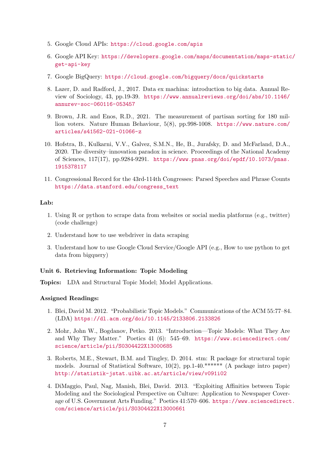- 5. Google Cloud APIs: <https://cloud.google.com/apis>
- 6. Google API Key: [https://developers.google.com/maps/documentation/maps-static](https://developers.google.com/maps/documentation/maps-static/get-api-key)/ [get-api-key](https://developers.google.com/maps/documentation/maps-static/get-api-key)
- 7. Google BigQuery: <https://cloud.google.com/bigquery/docs/quickstarts>
- 8. Lazer, D. and Radford, J., 2017. Data ex machina: introduction to big data. Annual Review of Sociology, 43, pp.19-39. [https://www.annualreviews.org/doi/abs/10.1146/](https://www.annualreviews.org/doi/abs/10.1146/annurev-soc-060116-053457) [annurev-soc-060116-053457](https://www.annualreviews.org/doi/abs/10.1146/annurev-soc-060116-053457)
- 9. Brown, J.R. and Enos, R.D., 2021. The measurement of partisan sorting for 180 million voters. Nature Human Behaviour, 5(8), pp.998-1008. [https://www.nature.com/](https://www.nature.com/articles/s41562-021-01066-z) [articles/s41562-021-01066-z](https://www.nature.com/articles/s41562-021-01066-z)
- 10. Hofstra, B., Kulkarni, V.V., Galvez, S.M.N., He, B., Jurafsky, D. and McFarland, D.A., 2020. The diversity–innovation paradox in science. Proceedings of the National Academy of Sciences, 117(17), pp.9284-9291. [https://www.pnas.org/doi/epdf/10.1073/pnas.](https://www.pnas.org/doi/epdf/10.1073/pnas.1915378117) [1915378117](https://www.pnas.org/doi/epdf/10.1073/pnas.1915378117)
- 11. Congressional Record for the 43rd-114th Congresses: Parsed Speeches and Phrase Counts [https://data.stanford.edu/congress\\_text](https://data.stanford.edu/congress_text)

- 1. Using R or python to scrape data from websites or social media platforms (e.g., twitter) (code challenge)
- 2. Understand how to use webdriver in data scraping
- 3. Understand how to use Google Cloud Service/Google API (e.g., How to use python to get data from bigquery)

## Unit 6. Retrieving Information: Topic Modeling

Topics: LDA and Structural Topic Model; Model Applications.

- 1. Blei, David M. 2012. "Probabilistic Topic Models." Communications of the ACM 55:77–84. (LDA) <https://dl.acm.org/doi/10.1145/2133806.2133826>
- 2. Mohr, John W., Bogdanov, Petko. 2013. "Introduction—Topic Models: What They Are and Why They Matter." Poetics 41 (6): 545–69. [https://www.sciencedirect.com/](https://www.sciencedirect.com/science/article/pii/S0304422X13000685) [science/article/pii/S0304422X13000685](https://www.sciencedirect.com/science/article/pii/S0304422X13000685)
- 3. Roberts, M.E., Stewart, B.M. and Tingley, D. 2014. stm: R package for structural topic models. Journal of Statistical Software,  $10(2)$ , pp. 1-40.\*\*\*\*\*\* (A package intro paper) <http://statistik-jstat.uibk.ac.at/article/view/v091i02>
- 4. DiMaggio, Paul, Nag, Manish, Blei, David. 2013. "Exploiting Affinities between Topic Modeling and the Sociological Perspective on Culture: Application to Newspaper Coverage of U.S. Government Arts Funding." Poetics 41:570–606. [https://www.sciencedirect](https://www.sciencedirect.com/science/article/pii/S0304422X13000661). [com/science/article/pii/S0304422X13000661](https://www.sciencedirect.com/science/article/pii/S0304422X13000661)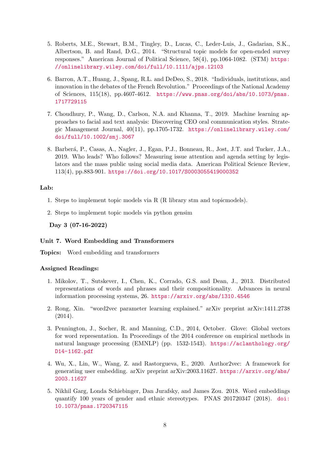- 5. Roberts, M.E., Stewart, B.M., Tingley, D., Lucas, C., Leder-Luis, J., Gadarian, S.K., Albertson, B. and Rand, D.G., 2014. "Structural topic models for open-ended survey responses." American Journal of Political Science, 58(4), pp.1064-1082. (STM) [https:](https://onlinelibrary.wiley.com/doi/full/10.1111/ajps.12103) [//onlinelibrary.wiley.com/doi/full/10.1111/ajps.12103](https://onlinelibrary.wiley.com/doi/full/10.1111/ajps.12103)
- 6. Barron, A.T., Huang, J., Spang, R.L. and DeDeo, S., 2018. "Individuals, institutions, and innovation in the debates of the French Revolution." Proceedings of the National Academy of Sciences, 115(18), pp.4607-4612. [https://www.pnas.org/doi/abs/10.1073/pnas.](https://www.pnas.org/doi/abs/10.1073/pnas.1717729115) [1717729115](https://www.pnas.org/doi/abs/10.1073/pnas.1717729115)
- 7. Choudhury, P., Wang, D., Carlson, N.A. and Khanna, T., 2019. Machine learning approaches to facial and text analysis: Discovering CEO oral communication styles. Strategic Management Journal, 40(11), pp.1705-1732. [https://onlinelibrary.wiley.com/](https://onlinelibrary.wiley.com/doi/full/10.1002/smj.3067) [doi/full/10.1002/smj.3067](https://onlinelibrary.wiley.com/doi/full/10.1002/smj.3067)
- 8. Barberá, P., Casas, A., Nagler, J., Egan, P.J., Bonneau, R., Jost, J.T. and Tucker, J.A., 2019. Who leads? Who follows? Measuring issue attention and agenda setting by legislators and the mass public using social media data. American Political Science Review, 113(4), pp.883-901. <https://doi.org/10.1017/S0003055419000352>

- 1. Steps to implement topic models via R (R library stm and topicmodels).
- 2. Steps to implement topic models via python gensim

Day 3 (07-16-2022)

#### Unit 7. Word Embedding and Transformers

Topics: Word embedding and transformers

- 1. Mikolov, T., Sutskever, I., Chen, K., Corrado, G.S. and Dean, J., 2013. Distributed representations of words and phrases and their compositionality. Advances in neural information processing systems, 26. <https://arxiv.org/abs/1310.4546>
- 2. Rong, Xin. "word2vec parameter learning explained." arXiv preprint arXiv:1411.2738 (2014).
- 3. Pennington, J., Socher, R. and Manning, C.D., 2014, October. Glove: Global vectors for word representation. In Proceedings of the 2014 conference on empirical methods in natural language processing (EMNLP) (pp. 1532-1543). [https://aclanthology.org/](https://aclanthology.org/D14-1162.pdf) [D14-1162.pdf](https://aclanthology.org/D14-1162.pdf)
- 4. Wu, X., Lin, W., Wang, Z. and Rastorgueva, E., 2020. Author2vec: A framework for generating user embedding. arXiv preprint arXiv:2003.11627. [https://arxiv.org/abs/](https://arxiv.org/abs/2003.11627) [2003.11627](https://arxiv.org/abs/2003.11627)
- 5. Nikhil Garg, Londa Schiebinger, Dan Jurafsky, and James Zou. 2018. Word embeddings quantify 100 years of gender and ethnic stereotypes. PNAS 201720347 (2018). [doi:](doi:10.1073/pnas.1720347115) [10.1073/pnas.1720347115](doi:10.1073/pnas.1720347115)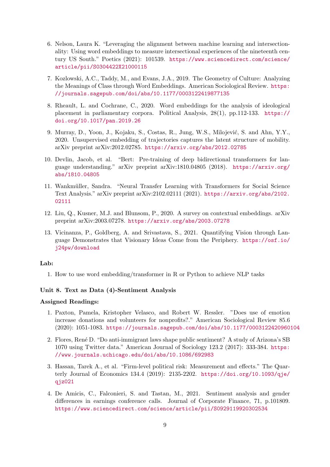- 6. Nelson, Laura K. "Leveraging the alignment between machine learning and intersectionality: Using word embeddings to measure intersectional experiences of the nineteenth century US South." Poetics (2021): 101539. [https://www.sciencedirect.com/science/](https://www.sciencedirect.com/science/article/pii/S0304422X21000115) [article/pii/S0304422X21000115](https://www.sciencedirect.com/science/article/pii/S0304422X21000115)
- 7. Kozlowski, A.C., Taddy, M., and Evans, J.A., 2019. The Geometry of Culture: Analyzing the Meanings of Class through Word Embeddings. American Sociological Review. [https:](https://journals.sagepub.com/doi/abs/10.1177/0003122419877135) [//journals.sagepub.com/doi/abs/10.1177/0003122419877135](https://journals.sagepub.com/doi/abs/10.1177/0003122419877135)
- 8. Rheault, L. and Cochrane, C., 2020. Word embeddings for the analysis of ideological placement in parliamentary corpora. Political Analysis, 28(1), pp.112-133. [https://](https://doi.org/10.1017/pan.2019.26) [doi.org/10.1017/pan.2019.26](https://doi.org/10.1017/pan.2019.26)
- 9. Murray, D., Yoon, J., Kojaku, S., Costas, R., Jung, W.S., Milojević, S. and Ahn, Y.Y., 2020. Unsupervised embedding of trajectories captures the latent structure of mobility. arXiv preprint arXiv:2012.02785. <https://arxiv.org/abs/2012.02785>
- 10. Devlin, Jacob, et al. "Bert: Pre-training of deep bidirectional transformers for language understanding." arXiv preprint arXiv:1810.04805 (2018). [https://arxiv.org/](https://arxiv.org/abs/1810.04805) [abs/1810.04805](https://arxiv.org/abs/1810.04805)
- 11. Wankm¨uller, Sandra. "Neural Transfer Learning with Transformers for Social Science Text Analysis." arXiv preprint arXiv:2102.02111 (2021). [https://arxiv.org/abs/2102.](https://arxiv.org/abs/2102.02111) [02111](https://arxiv.org/abs/2102.02111)
- 12. Liu, Q., Kusner, M.J. and Blunsom, P., 2020. A survey on contextual embeddings. arXiv preprint arXiv:2003.07278. <https://arxiv.org/abs/2003.07278>
- 13. Vicinanza, P., Goldberg, A. and Srivastava, S., 2021. Quantifying Vision through Language Demonstrates that Visionary Ideas Come from the Periphery. [https://osf.io/](https://osf.io/j24pw/download) [j24pw/download](https://osf.io/j24pw/download)

1. How to use word embedding/transformer in R or Python to achieve NLP tasks

## Unit 8. Text as Data (4)-Sentiment Analysis

- 1. Paxton, Pamela, Kristopher Velasco, and Robert W. Ressler. "Does use of emotion increase donations and volunteers for nonprofits?." American Sociological Review 85.6 (2020): 1051-1083. <https://journals.sagepub.com/doi/abs/10.1177/0003122420960104>
- 2. Flores, René D. "Do anti-immigrant laws shape public sentiment? A study of Arizona's SB 1070 using Twitter data." American Journal of Sociology 123.2 (2017): 333-384. [https:](https://www.journals.uchicago.edu/doi/abs/10.1086/692983) [//www.journals.uchicago.edu/doi/abs/10.1086/692983](https://www.journals.uchicago.edu/doi/abs/10.1086/692983)
- 3. Hassan, Tarek A., et al. "Firm-level political risk: Measurement and effects." The Quarterly Journal of Economics 134.4 (2019): 2135-2202. [https://doi.org/10.1093/qje/](https://doi.org/10.1093/qje/qjz021) [qjz021](https://doi.org/10.1093/qje/qjz021)
- 4. De Amicis, C., Falconieri, S. and Tastan, M., 2021. Sentiment analysis and gender differences in earnings conference calls. Journal of Corporate Finance, 71, p.101809. <https://www.sciencedirect.com/science/article/pii/S0929119920302534>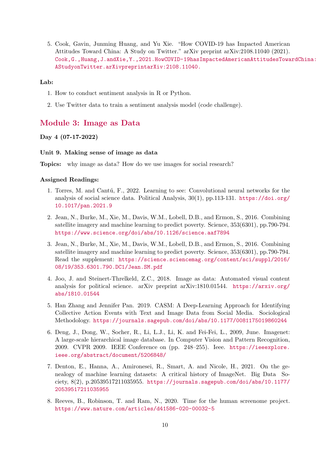5. Cook, Gavin, Junming Huang, and Yu Xie. "How COVID-19 has Impacted American Attitudes Toward China: A Study on Twitter." arXiv preprint arXiv:2108.11040 (2021). [Cook,G.,Huang,J.andXie,Y.,2021.HowCOVID-19hasImpactedAmericanAttitudesTowa](Cook, G., Huang, J. and Xie, Y., 2021. How COVID-19 has Impacted American Attitudes Toward China: A Study on Twitter. arXiv preprint arXiv:2108.11040.)rdChina: [AStudyonTwitter.arXivpreprintarXiv:2108.11040.](Cook, G., Huang, J. and Xie, Y., 2021. How COVID-19 has Impacted American Attitudes Toward China: A Study on Twitter. arXiv preprint arXiv:2108.11040.)

#### Lab:

- 1. How to conduct sentiment analysis in R or Python.
- 2. Use Twitter data to train a sentiment analysis model (code challenge).

## Module 3: Image as Data

## Day 4 (07-17-2022)

#### Unit 9. Making sense of image as data

Topics: why image as data? How do we use images for social research?

- 1. Torres, M. and Cantú, F., 2022. Learning to see: Convolutional neural networks for the analysis of social science data. Political Analysis, 30(1), pp.113-131. [https://doi.org/](https://doi.org/10.1017/pan.2021.9) [10.1017/pan.2021.9](https://doi.org/10.1017/pan.2021.9)
- 2. Jean, N., Burke, M., Xie, M., Davis, W.M., Lobell, D.B., and Ermon, S., 2016. Combining satellite imagery and machine learning to predict poverty. Science, 353(6301), pp.790-794. <https://www.science.org/doi/abs/10.1126/science.aaf7894>
- 3. Jean, N., Burke, M., Xie, M., Davis, W.M., Lobell, D.B., and Ermon, S., 2016. Combining satellite imagery and machine learning to predict poverty. Science, 353(6301), pp.790-794. Read the supplement: [https://science.sciencemag.org/content/sci/suppl/2016/](https://science.sciencemag.org/content/sci/suppl/2016/08/19/353.6301.790.DC1/Jean.SM.pdf) [08/19/353.6301.790.DC1/Jean.SM.pdf](https://science.sciencemag.org/content/sci/suppl/2016/08/19/353.6301.790.DC1/Jean.SM.pdf)
- 4. Joo, J. and Steinert-Threlkeld, Z.C., 2018. Image as data: Automated visual content analysis for political science. arXiv preprint arXiv:1810.01544. [https://arxiv.org/](https://arxiv.org/abs/1810.01544) [abs/1810.01544](https://arxiv.org/abs/1810.01544)
- 5. Han Zhang and Jennifer Pan. 2019. CASM: A Deep-Learning Approach for Identifying Collective Action Events with Text and Image Data from Social Media. Sociological Methodology. <https://journals.sagepub.com/doi/abs/10.1177/0081175019860244>
- 6. Deng, J., Dong, W., Socher, R., Li, L.J., Li, K. and Fei-Fei, L., 2009, June. Imagenet: A large-scale hierarchical image database. In Computer Vision and Pattern Recognition, 2009. CVPR 2009. IEEE Conference on (pp. 248–255). Ieee. [https://ieeexplore.](https://ieeexplore.ieee.org/abstract/document/5206848/) [ieee.org/abstract/document/5206848/](https://ieeexplore.ieee.org/abstract/document/5206848/)
- 7. Denton, E., Hanna, A., Amironesei, R., Smart, A. and Nicole, H., 2021. On the genealogy of machine learning datasets: A critical history of ImageNet. Big Data Society, 8(2), p.20539517211035955. [https://journals.sagepub.com/doi/abs/10.1177/](https://journals.sagepub.com/doi/abs/10.1177/20539517211035955) [20539517211035955](https://journals.sagepub.com/doi/abs/10.1177/20539517211035955)
- 8. Reeves, B., Robinson, T. and Ram, N., 2020. Time for the human screenome project. <https://www.nature.com/articles/d41586-020-00032-5>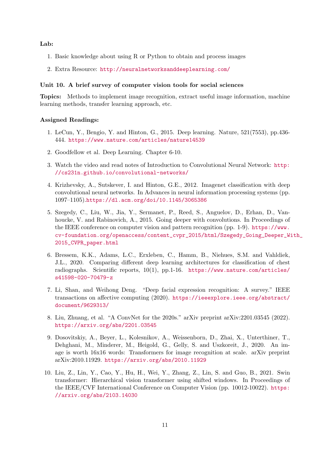- 1. Basic knowledge about using R or Python to obtain and process images
- 2. Extra Resource: <http://neuralnetworksanddeeplearning.com/>

#### Unit 10. A brief survey of computer vision tools for social sciences

Topics: Methods to implement image recognition, extract useful image information, machine learning methods, transfer learning approach, etc.

- 1. LeCun, Y., Bengio, Y. and Hinton, G., 2015. Deep learning. Nature, 521(7553), pp.436- 444. <https://www.nature.com/articles/nature14539>
- 2. Goodfellow et al. Deep Learning. Chapter 6-10.
- 3. Watch the video and read notes of Introduction to Convolutional Neural Network: [http:](http://cs231n.github.io/convolutional-networks/) [//cs231n.github.io/convolutional-networks/](http://cs231n.github.io/convolutional-networks/)
- 4. Krizhevsky, A., Sutskever, I. and Hinton, G.E., 2012. Imagenet classification with deep convolutional neural networks. In Advances in neural information processing systems (pp. 1097–1105).<https://dl.acm.org/doi/10.1145/3065386>
- 5. Szegedy, C., Liu, W., Jia, Y., Sermanet, P., Reed, S., Anguelov, D., Erhan, D., Vanhoucke, V. and Rabinovich, A., 2015. Going deeper with convolutions. In Proceedings of the IEEE conference on computer vision and pattern recognition (pp. 1-9). [https://www.](https://www.cv-foundation.org/openaccess/content_cvpr_2015/html/Szegedy_Going_Deeper_With_2015_CVPR_paper.html) [cv-foundation.org/openaccess/content\\_cvpr\\_2015/html/Szegedy\\_Going\\_Deeper\\_Wi](https://www.cv-foundation.org/openaccess/content_cvpr_2015/html/Szegedy_Going_Deeper_With_2015_CVPR_paper.html)th\_ [2015\\_CVPR\\_paper.html](https://www.cv-foundation.org/openaccess/content_cvpr_2015/html/Szegedy_Going_Deeper_With_2015_CVPR_paper.html)
- 6. Bressem, K.K., Adams, L.C., Erxleben, C., Hamm, B., Niehues, S.M. and Vahldiek, J.L., 2020. Comparing different deep learning architectures for classification of chest radiographs. Scientific reports, 10(1), pp.1-16. [https://www.nature.com/articles/](https://www.nature.com/articles/s41598-020-70479-z) [s41598-020-70479-z](https://www.nature.com/articles/s41598-020-70479-z)
- 7. Li, Shan, and Weihong Deng. "Deep facial expression recognition: A survey." IEEE transactions on affective computing (2020). [https://ieeexplore.ieee.org/abstract/](https://ieeexplore.ieee.org/abstract/document/9629313/) [document/9629313/](https://ieeexplore.ieee.org/abstract/document/9629313/)
- 8. Liu, Zhuang, et al. "A ConvNet for the 2020s." arXiv preprint arXiv:2201.03545 (2022). <https://arxiv.org/abs/2201.03545>
- 9. Dosovitskiy, A., Beyer, L., Kolesnikov, A., Weissenborn, D., Zhai, X., Unterthiner, T., Dehghani, M., Minderer, M., Heigold, G., Gelly, S. and Uszkoreit, J., 2020. An image is worth 16x16 words: Transformers for image recognition at scale. arXiv preprint arXiv:2010.11929. <https://arxiv.org/abs/2010.11929>
- 10. Liu, Z., Lin, Y., Cao, Y., Hu, H., Wei, Y., Zhang, Z., Lin, S. and Guo, B., 2021. Swin transformer: Hierarchical vision transformer using shifted windows. In Proceedings of the IEEE/CVF International Conference on Computer Vision (pp. 10012-10022). [https:](https://arxiv.org/abs/2103.14030) [//arxiv.org/abs/2103.14030](https://arxiv.org/abs/2103.14030)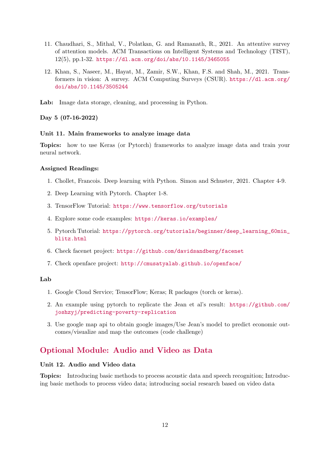- 11. Chaudhari, S., Mithal, V., Polatkan, G. and Ramanath, R., 2021. An attentive survey of attention models. ACM Transactions on Intelligent Systems and Technology (TIST), 12(5), pp.1-32. <https://dl.acm.org/doi/abs/10.1145/3465055>
- 12. Khan, S., Naseer, M., Hayat, M., Zamir, S.W., Khan, F.S. and Shah, M., 2021. Transformers in vision: A survey. ACM Computing Surveys (CSUR). [https://dl.acm.org/](https://dl.acm.org/doi/abs/10.1145/3505244) [doi/abs/10.1145/3505244](https://dl.acm.org/doi/abs/10.1145/3505244)
- Lab: Image data storage, cleaning, and processing in Python.

#### Day 5 (07-16-2022)

#### Unit 11. Main frameworks to analyze image data

Topics: how to use Keras (or Pytorch) frameworks to analyze image data and train your neural network.

#### Assigned Readings:

- 1. Chollet, Francois. Deep learning with Python. Simon and Schuster, 2021. Chapter 4-9.
- 2. Deep Learning with Pytorch. Chapter 1-8.
- 3. TensorFlow Tutorial: <https://www.tensorflow.org/tutorials>
- 4. Explore some code examples: <https://keras.io/examples/>
- 5. Pytorch Tutorial: [https://pytorch.org/tutorials/beginner/deep\\_learning\\_60min\\_](https://pytorch.org/tutorials/beginner/deep_learning_60min_blitz.html) [blitz.html](https://pytorch.org/tutorials/beginner/deep_learning_60min_blitz.html)
- 6. Check facenet project: <https://github.com/davidsandberg/facenet>
- 7. Check openface project: <http://cmusatyalab.github.io/openface/>

#### Lab

- 1. Google Cloud Service; TensorFlow; Keras; R packages (torch or keras).
- 2. An example using pytorch to replicate the Jean et al's result: [https://github.com/](https://github.com/joshzyj/predicting-poverty-replication) [joshzyj/predicting-poverty-replication](https://github.com/joshzyj/predicting-poverty-replication)
- 3. Use google map api to obtain google images/Use Jean's model to predict economic outcomes/visualize and map the outcomes (code challenge)

## Optional Module: Audio and Video as Data

### Unit 12. Audio and Video data

Topics: Introducing basic methods to process acoustic data and speech recognition; Introducing basic methods to process video data; introducing social research based on video data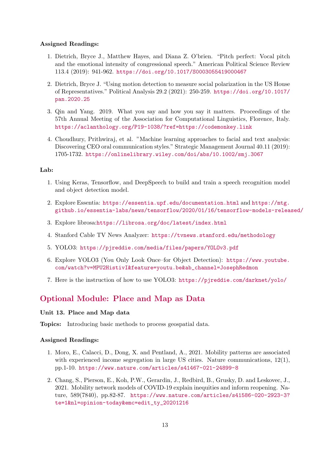#### Assigned Readings:

- 1. Dietrich, Bryce J., Matthew Hayes, and Diana Z. O'brien. "Pitch perfect: Vocal pitch and the emotional intensity of congressional speech." American Political Science Review 113.4 (2019): 941-962. <https://doi.org/10.1017/S0003055419000467>
- 2. Dietrich, Bryce J. "Using motion detection to measure social polarization in the US House of Representatives." Political Analysis 29.2 (2021): 250-259. [https://doi.org/10.1017/](https://doi.org/10.1017/pan.2020.25) [pan.2020.25](https://doi.org/10.1017/pan.2020.25)
- 3. Qin and Yang. 2019. What you say and how you say it matters. Proceedings of the 57th Annual Meeting of the Association for Computational Linguistics, Florence, Italy. <https://aclanthology.org/P19-1038/?ref=https://codemonkey.link>
- 4. Choudhury, Prithwiraj, et al. "Machine learning approaches to facial and text analysis: Discovering CEO oral communication styles." Strategic Management Journal 40.11 (2019): 1705-1732. <https://onlinelibrary.wiley.com/doi/abs/10.1002/smj.3067>

#### Lab:

- 1. Using Keras, Tensorflow, and DeepSpeech to build and train a speech recognition model and object detection model.
- 2. Explore Essentia: <https://essentia.upf.edu/documentation.html> and [https://mtg.](https://mtg.github.io/essentia-labs/news/tensorflow/2020/01/16/tensorflow-models-released/) [github.io/essentia-labs/news/tensorflow/2020/01/16/tensorflow-models-released/](https://mtg.github.io/essentia-labs/news/tensorflow/2020/01/16/tensorflow-models-released/)
- 3. Explore librosa:<https://librosa.org/doc/latest/index.html>
- 4. Stanford Cable TV News Analyzer: <https://tvnews.stanford.edu/methodology>
- 5. YOLO3: <https://pjreddie.com/media/files/papers/YOLOv3.pdf>
- 6. Explore YOLO3 (You Only Look Once–for Object Detection): [https://www.youtube.](https://www.youtube.com/watch?v=MPU2HistivI&feature=youtu.be&ab_channel=JosephRedmon) [com/watch?v=MPU2HistivI&feature=youtu.be&ab\\_channel=JosephRedmon](https://www.youtube.com/watch?v=MPU2HistivI&feature=youtu.be&ab_channel=JosephRedmon)
- 7. Here is the instruction of how to use YOLO3: <https://pjreddie.com/darknet/yolo/>

## Optional Module: Place and Map as Data

## Unit 13. Place and Map data

Topics: Introducing basic methods to process geospatial data.

- 1. Moro, E., Calacci, D., Dong, X. and Pentland, A., 2021. Mobility patterns are associated with experienced income segregation in large US cities. Nature communications, 12(1), pp.1-10. <https://www.nature.com/articles/s41467-021-24899-8>
- 2. Chang, S., Pierson, E., Koh, P.W., Gerardin, J., Redbird, B., Grusky, D. and Leskovec, J., 2021. Mobility network models of COVID-19 explain inequities and inform reopening. Nature, 589(7840), pp.82-87. [https://www.nature.com/articles/s41586-020-2923-3?](https://www.nature.com/articles/s41586-020-2923-3?te=1&nl=opinion-today&emc=edit_ty_20201216) [te=1&nl=opinion-today&emc=edit\\_ty\\_20201216](https://www.nature.com/articles/s41586-020-2923-3?te=1&nl=opinion-today&emc=edit_ty_20201216)